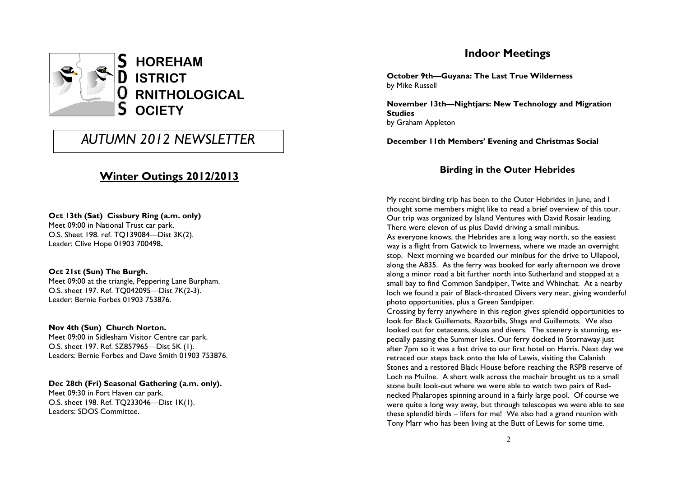

# AUTUMN 2012 NEWSLETTER

# Winter Outings 2012/2013

Oct 13th (Sat) Cissbury Ring (a.m. only) Meet 09:00 in National Trust car park. O.S. Sheet 198. ref. TQ139084—Dist 3K(2). Leader: Clive Hope 01903 700498.

#### Oct 21st (Sun) The Burgh.

 Meet 09:00 at the triangle, Peppering Lane Burpham. O.S. sheet 197. Ref. TQ042095—Dist 7K(2-3). Leader: Bernie Forbes 01903 753876.

#### Nov 4th (Sun) Church Norton.

 Meet 09:00 in Sidlesham Visitor Centre car park. O.S. sheet 197. Ref. SZ857965—Dist 5K (1). Leaders: Bernie Forbes and Dave Smith 01903 753876.

Dec 28th (Fri) Seasonal Gathering (a.m. only). Meet 09:30 in Fort Haven car park. O.S. sheet 198. Ref. TQ233046—Dist 1K(1). Leaders: SDOS Committee.

# Indoor Meetings

October 9th—Guyana: The Last True Wilderness by Mike Russell

November 13th—Nightjars: New Technology and Migration **Studies** by Graham Appleton

December 11th Members' Evening and Christmas Social

### Birding in the Outer Hebrides

My recent birding trip has been to the Outer Hebrides in June, and I thought some members might like to read a brief overview of this tour. Our trip was organized by Island Ventures with David Rosair leading. There were eleven of us plus David driving a small minibus. As everyone knows, the Hebrides are a long way north, so the easiest way is a flight from Gatwick to Inverness, where we made an overnight stop. Next morning we boarded our minibus for the drive to Ullapool, along the A835. As the ferry was booked for early afternoon we drove along a minor road a bit further north into Sutherland and stopped at a small bay to find Common Sandpiper, Twite and Whinchat. At a nearby loch we found a pair of Black-throated Divers very near, giving wonderful photo opportunities, plus a Green Sandpiper.

 Crossing by ferry anywhere in this region gives splendid opportunities to look for Black Guillemots, Razorbills, Shags and Guillemots. We also looked out for cetaceans, skuas and divers. The scenery is stunning, especially passing the Summer Isles. Our ferry docked in Stornaway just after 7pm so it was a fast drive to our first hotel on Harris. Next day we retraced our steps back onto the Isle of Lewis, visiting the Calanish Stones and a restored Black House before reaching the RSPB reserve of Loch na Muilne. A short walk across the machair brought us to a small stone built look-out where we were able to watch two pairs of Rednecked Phalaropes spinning around in a fairly large pool. Of course we were quite a long way away, but through telescopes we were able to see these splendid birds – lifers for me! We also had a grand reunion with Tony Marr who has been living at the Butt of Lewis for some time.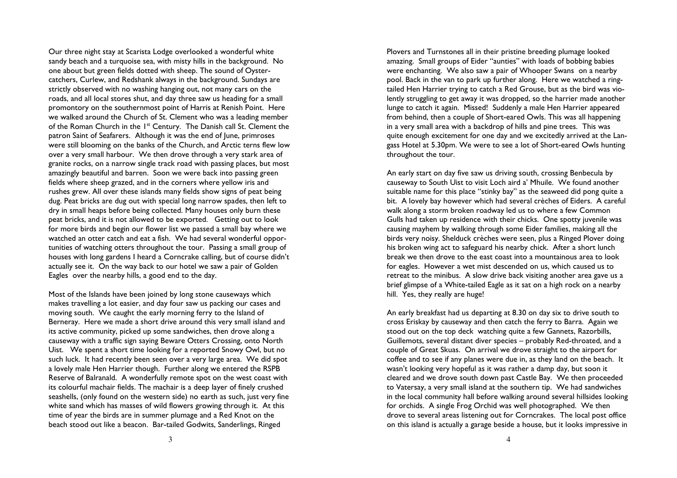Our three night stay at Scarista Lodge overlooked a wonderful white sandy beach and a turquoise sea, with misty hills in the background. No one about but green fields dotted with sheep. The sound of Oystercatchers, Curlew, and Redshank always in the background. Sundays are strictly observed with no washing hanging out, not many cars on the roads, and all local stores shut, and day three saw us heading for a small promontory on the southernmost point of Harris at Renish Point. Here we walked around the Church of St. Clement who was a leading member of the Roman Church in the 1<sup>st</sup> Century. The Danish call St. Clement the patron Saint of Seafarers. Although it was the end of June, primroses were still blooming on the banks of the Church, and Arctic terns flew low over a very small harbour. We then drove through a very stark area of granite rocks, on a narrow single track road with passing places, but most amazingly beautiful and barren. Soon we were back into passing green fields where sheep grazed, and in the corners where yellow iris and rushes grew. All over these islands many fields show signs of peat being dug. Peat bricks are dug out with special long narrow spades, then left to dry in small heaps before being collected. Many houses only burn these peat bricks, and it is not allowed to be exported. Getting out to look for more birds and begin our flower list we passed a small bay where we watched an otter catch and eat a fish. We had several wonderful opportunities of watching otters throughout the tour. Passing a small group of houses with long gardens I heard a Corncrake calling, but of course didn't actually see it. On the way back to our hotel we saw a pair of Golden Eagles over the nearby hills, a good end to the day.

Most of the Islands have been joined by long stone causeways which makes travelling a lot easier, and day four saw us packing our cases and moving south. We caught the early morning ferry to the Island of Berneray. Here we made a short drive around this very small island and its active community, picked up some sandwiches, then drove along a causeway with a traffic sign saying Beware Otters Crossing, onto North Uist. We spent a short time looking for a reported Snowy Owl, but no such luck. It had recently been seen over a very large area. We did spot a lovely male Hen Harrier though. Further along we entered the RSPB Reserve of Balranald. A wonderfully remote spot on the west coast with its colourful machair fields. The machair is a deep layer of finely crushed seashells, (only found on the western side) no earth as such, just very fine white sand which has masses of wild flowers growing through it. At this time of year the birds are in summer plumage and a Red Knot on the beach stood out like a beacon. Bar-tailed Godwits, Sanderlings, Ringed

Plovers and Turnstones all in their pristine breeding plumage looked amazing. Small groups of Eider "aunties" with loads of bobbing babies were enchanting. We also saw a pair of Whooper Swans on a nearby pool. Back in the van to park up further along. Here we watched a ringtailed Hen Harrier trying to catch a Red Grouse, but as the bird was violently struggling to get away it was dropped, so the harrier made another lunge to catch it again. Missed! Suddenly a male Hen Harrier appeared from behind, then a couple of Short-eared Owls. This was all happening in a very small area with a backdrop of hills and pine trees. This was quite enough excitement for one day and we excitedly arrived at the Langass Hotel at 5.30pm. We were to see a lot of Short-eared Owls hunting throughout the tour.

An early start on day five saw us driving south, crossing Benbecula by causeway to South Uist to visit Loch aird a' Mhuile. We found another suitable name for this place "stinky bay" as the seaweed did pong quite a bit. A lovely bay however which had several crèches of Eiders. A careful walk along a storm broken roadway led us to where a few Common Gulls had taken up residence with their chicks. One spotty juvenile was causing mayhem by walking through some Eider families, making all the birds very noisy. Shelduck crèches were seen, plus a Ringed Plover doing his broken wing act to safeguard his nearby chick. After a short lunch break we then drove to the east coast into a mountainous area to look for eagles. However a wet mist descended on us, which caused us to retreat to the minibus. A slow drive back visiting another area gave us a brief glimpse of a White-tailed Eagle as it sat on a high rock on a nearby hill. Yes, they really are huge!

An early breakfast had us departing at 8.30 on day six to drive south to cross Eriskay by causeway and then catch the ferry to Barra. Again we stood out on the top deck watching quite a few Gannets, Razorbills, Guillemots, several distant diver species – probably Red-throated, and a couple of Great Skuas. On arrival we drove straight to the airport for coffee and to see if any planes were due in, as they land on the beach. It wasn't looking very hopeful as it was rather a damp day, but soon it cleared and we drove south down past Castle Bay. We then proceeded to Vatersay, a very small island at the southern tip. We had sandwiches in the local community hall before walking around several hillsides looking for orchids. A single Frog Orchid was well photographed. We then drove to several areas listening out for Corncrakes. The local post office on this island is actually a garage beside a house, but it looks impressive in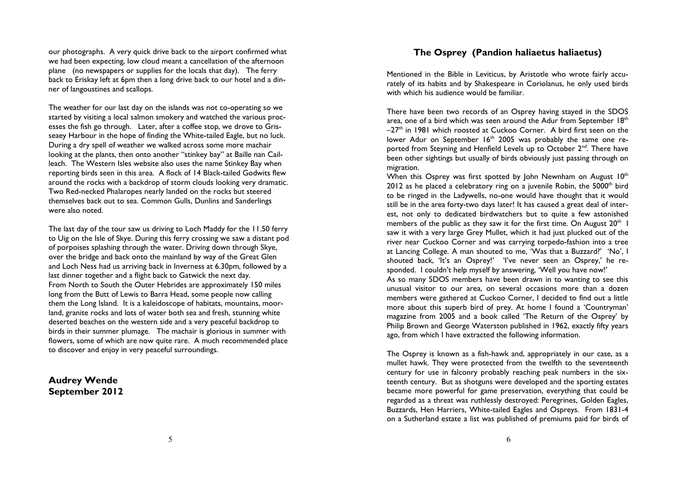our photographs. A very quick drive back to the airport confirmed what we had been expecting, low cloud meant a cancellation of the afternoon plane (no newspapers or supplies for the locals that day). The ferry back to Eriskay left at 6pm then a long drive back to our hotel and a dinner of langoustines and scallops.

The weather for our last day on the islands was not co-operating so we started by visiting a local salmon smokery and watched the various processes the fish go through. Later, after a coffee stop, we drove to Grisseaey Harbour in the hope of finding the White-tailed Eagle, but no luck. During a dry spell of weather we walked across some more machair looking at the plants, then onto another "stinkey bay" at Baille nan Cailleach. The Western Isles website also uses the name Stinkey Bay when reporting birds seen in this area. A flock of 14 Black-tailed Godwits flew around the rocks with a backdrop of storm clouds looking very dramatic. Two Red-necked Phalaropes nearly landed on the rocks but steered themselves back out to sea. Common Gulls, Dunlins and Sanderlings were also noted.

The last day of the tour saw us driving to Loch Maddy for the 11.50 ferry to Uig on the Isle of Skye. During this ferry crossing we saw a distant pod of porpoises splashing through the water. Driving down through Skye, over the bridge and back onto the mainland by way of the Great Glen and Loch Ness had us arriving back in Inverness at 6.30pm, followed by a last dinner together and a flight back to Gatwick the next day. From North to South the Outer Hebrides are approximately 150 miles long from the Butt of Lewis to Barra Head, some people now calling them the Long Island. It is a kaleidoscope of habitats, mountains, moorland, granite rocks and lots of water both sea and fresh, stunning white deserted beaches on the western side and a very peaceful backdrop to birds in their summer plumage. The machair is glorious in summer with flowers, some of which are now quite rare. A much recommended place to discover and enjoy in very peaceful surroundings.

## Audrey Wende September 2012

## The Osprey (Pandion haliaetus haliaetus)

Mentioned in the Bible in Leviticus, by Aristotle who wrote fairly accurately of its habits and by Shakespeare in Coriolanus, he only used birds with which his audience would be familiar.

There have been two records of an Osprey having stayed in the SDOS area, one of a bird which was seen around the Adur from September  $18^{\text{th}}$ –27th in 1981 which roosted at Cuckoo Corner. A bird first seen on the lower Adur on September 16<sup>th</sup> 2005 was probably the same one reported from Steyning and Henfield Levels up to October 2<sup>nd</sup>. There have been other sightings but usually of birds obviously just passing through on migration.

When this Osprey was first spotted by John Newnham on August  $10^{th}$  $2012$  as he placed a celebratory ring on a juvenile Robin, the  $5000<sup>th</sup>$  bird to be ringed in the Ladywells, no-one would have thought that it would still be in the area forty-two days later! It has caused a great deal of interest, not only to dedicated birdwatchers but to quite a few astonished members of the public as they saw it for the first time. On August  $20<sup>th</sup>$  I saw it with a very large Grey Mullet, which it had just plucked out of the river near Cuckoo Corner and was carrying torpedo-fashion into a tree at Lancing College. A man shouted to me, 'Was that a Buzzard?' 'No', I shouted back, 'It's an Osprey!' 'I've never seen an Osprey,' he responded. I couldn't help myself by answering, 'Well you have now!'

 As so many SDOS members have been drawn in to wanting to see this unusual visitor to our area, on several occasions more than a dozen members were gathered at Cuckoo Corner, I decided to find out a little more about this superb bird of prey. At home I found a 'Countryman' magazine from 2005 and a book called 'The Return of the Osprey' by Philip Brown and George Waterston published in 1962, exactly fifty years ago, from which I have extracted the following information.

The Osprey is known as a fish-hawk and, appropriately in our case, as a mullet hawk. They were protected from the twelfth to the seventeenth century for use in falconry probably reaching peak numbers in the sixteenth century. But as shotguns were developed and the sporting estates became more powerful for game preservation, everything that could be regarded as a threat was ruthlessly destroyed: Peregrines, Golden Eagles, Buzzards, Hen Harriers, White-tailed Eagles and Ospreys. From 1831-4 on a Sutherland estate a list was published of premiums paid for birds of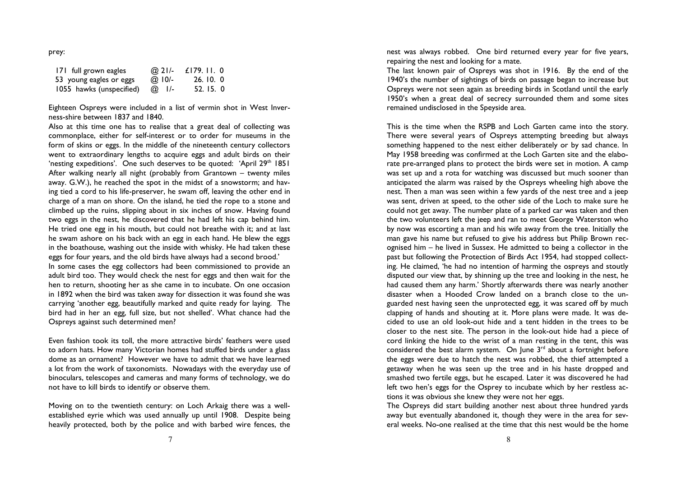|--|

| 171 full grown eagles    | @ 21/-       | £179. II. 0 |
|--------------------------|--------------|-------------|
| 53 young eagles or eggs  | @ $10/-$     | 26.10.0     |
| 1055 hawks (unspecified) | $\omega$ I/- | 52.15.0     |

Eighteen Ospreys were included in a list of vermin shot in West Inverness-shire between 1837 and 1840.

 Also at this time one has to realise that a great deal of collecting was commonplace, either for self-interest or to order for museums in the form of skins or eggs. In the middle of the nineteenth century collectors went to extraordinary lengths to acquire eggs and adult birds on their 'nesting expeditions'. One such deserves to be quoted: 'April 29<sup>th</sup> 1851 After walking nearly all night (probably from Grantown – twenty miles away. G.W.), he reached the spot in the midst of a snowstorm; and having tied a cord to his life-preserver, he swam off, leaving the other end in charge of a man on shore. On the island, he tied the rope to a stone and climbed up the ruins, slipping about in six inches of snow. Having found two eggs in the nest, he discovered that he had left his cap behind him. He tried one egg in his mouth, but could not breathe with it; and at last he swam ashore on his back with an egg in each hand. He blew the eggs in the boathouse, washing out the inside with whisky. He had taken these eggs for four years, and the old birds have always had a second brood.'

 In some cases the egg collectors had been commissioned to provide an adult bird too. They would check the nest for eggs and then wait for the hen to return, shooting her as she came in to incubate. On one occasion in 1892 when the bird was taken away for dissection it was found she was carrying 'another egg, beautifully marked and quite ready for laying. The bird had in her an egg, full size, but not shelled'. What chance had the Ospreys against such determined men?

Even fashion took its toll, the more attractive birds' feathers were used to adorn hats. How many Victorian homes had stuffed birds under a glass dome as an ornament? However we have to admit that we have learned a lot from the work of taxonomists. Nowadays with the everyday use of binoculars, telescopes and cameras and many forms of technology, we do not have to kill birds to identify or observe them.

Moving on to the twentieth century: on Loch Arkaig there was a wellestablished eyrie which was used annually up until 1908. Despite being heavily protected, both by the police and with barbed wire fences, the nest was always robbed. One bird returned every year for five years, repairing the nest and looking for a mate.

 The last known pair of Ospreys was shot in 1916. By the end of the 1940's the number of sightings of birds on passage began to increase but Ospreys were not seen again as breeding birds in Scotland until the early 1950's when a great deal of secrecy surrounded them and some sites remained undisclosed in the Speyside area.

This is the time when the RSPB and Loch Garten came into the story. There were several years of Ospreys attempting breeding but always something happened to the nest either deliberately or by sad chance. In May 1958 breeding was confirmed at the Loch Garten site and the elaborate pre-arranged plans to protect the birds were set in motion. A camp was set up and a rota for watching was discussed but much sooner than anticipated the alarm was raised by the Ospreys wheeling high above the nest. Then a man was seen within a few yards of the nest tree and a jeep was sent, driven at speed, to the other side of the Loch to make sure he could not get away. The number plate of a parked car was taken and then the two volunteers left the jeep and ran to meet George Waterston who by now was escorting a man and his wife away from the tree. Initially the man gave his name but refused to give his address but Philip Brown recognised him – he lived in Sussex. He admitted to being a collector in the past but following the Protection of Birds Act 1954, had stopped collecting. He claimed, 'he had no intention of harming the ospreys and stoutly disputed our view that, by shinning up the tree and looking in the nest, he had caused them any harm.' Shortly afterwards there was nearly another disaster when a Hooded Crow landed on a branch close to the unguarded nest having seen the unprotected egg, it was scared off by much clapping of hands and shouting at it. More plans were made. It was decided to use an old look-out hide and a tent hidden in the trees to be closer to the nest site. The person in the look-out hide had a piece of cord linking the hide to the wrist of a man resting in the tent, this was considered the best alarm system. On June  $3<sup>rd</sup>$  about a fortnight before the eggs were due to hatch the nest was robbed, the thief attempted a getaway when he was seen up the tree and in his haste dropped and smashed two fertile eggs, but he escaped. Later it was discovered he had left two hen's eggs for the Osprey to incubate which by her restless actions it was obvious she knew they were not her eggs.

 The Ospreys did start building another nest about three hundred yards away but eventually abandoned it, though they were in the area for several weeks. No-one realised at the time that this nest would be the home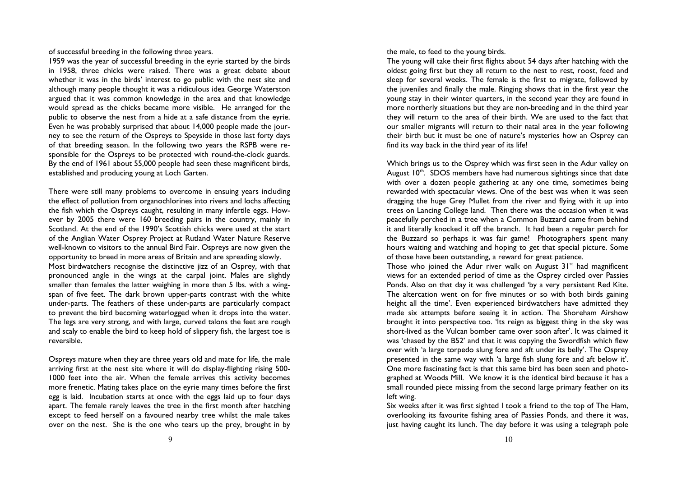of successful breeding in the following three years.

1959 was the year of successful breeding in the eyrie started by the birds in 1958, three chicks were raised. There was a great debate about whether it was in the birds' interest to go public with the nest site and although many people thought it was a ridiculous idea George Waterston argued that it was common knowledge in the area and that knowledge would spread as the chicks became more visible. He arranged for the public to observe the nest from a hide at a safe distance from the eyrie. Even he was probably surprised that about 14,000 people made the journey to see the return of the Ospreys to Speyside in those last forty days of that breeding season. In the following two years the RSPB were responsible for the Ospreys to be protected with round-the-clock guards. By the end of 1961 about 55,000 people had seen these magnificent birds, established and producing young at Loch Garten.

There were still many problems to overcome in ensuing years including the effect of pollution from organochlorines into rivers and lochs affecting the fish which the Ospreys caught, resulting in many infertile eggs. However by 2005 there were 160 breeding pairs in the country, mainly in Scotland. At the end of the 1990's Scottish chicks were used at the start of the Anglian Water Osprey Project at Rutland Water Nature Reserve well-known to visitors to the annual Bird Fair. Ospreys are now given the opportunity to breed in more areas of Britain and are spreading slowly. Most birdwatchers recognise the distinctive jizz of an Osprey, with that pronounced angle in the wings at the carpal joint. Males are slightly smaller than females the latter weighing in more than 5 lbs. with a wingspan of five feet. The dark brown upper-parts contrast with the white under-parts. The feathers of these under-parts are particularly compact to prevent the bird becoming waterlogged when it drops into the water. The legs are very strong, and with large, curved talons the feet are rough and scaly to enable the bird to keep hold of slippery fish, the largest toe is

Ospreys mature when they are three years old and mate for life, the male arriving first at the nest site where it will do display-flighting rising 500- 1000 feet into the air. When the female arrives this activity becomes more frenetic. Mating takes place on the eyrie many times before the first egg is laid. Incubation starts at once with the eggs laid up to four days apart. The female rarely leaves the tree in the first month after hatching except to feed herself on a favoured nearby tree whilst the male takes over on the nest. She is the one who tears up the prey, brought in by

reversible.

the male, to feed to the young birds.

 The young will take their first flights about 54 days after hatching with the oldest going first but they all return to the nest to rest, roost, feed and sleep for several weeks. The female is the first to migrate, followed by the juveniles and finally the male. Ringing shows that in the first year the young stay in their winter quarters, in the second year they are found in more northerly situations but they are non-breeding and in the third year they will return to the area of their birth. We are used to the fact that our smaller migrants will return to their natal area in the year following their birth but it must be one of nature's mysteries how an Osprey can find its way back in the third year of its life!

Which brings us to the Osprey which was first seen in the Adur valley on August 10<sup>th</sup>. SDOS members have had numerous sightings since that date with over a dozen people gathering at any one time, sometimes being rewarded with spectacular views. One of the best was when it was seen dragging the huge Grey Mullet from the river and flying with it up into trees on Lancing College land. Then there was the occasion when it was peacefully perched in a tree when a Common Buzzard came from behind it and literally knocked it off the branch. It had been a regular perch for the Buzzard so perhaps it was fair game! Photographers spent many hours waiting and watching and hoping to get that special picture. Some of those have been outstanding, a reward for great patience.

Those who joined the Adur river walk on August 31<sup>st</sup> had magnificent views for an extended period of time as the Osprey circled over Passies Ponds. Also on that day it was challenged 'by a very persistent Red Kite. The altercation went on for five minutes or so with both birds gaining height all the time'. Even experienced birdwatchers have admitted they made six attempts before seeing it in action. The Shoreham Airshow brought it into perspective too. 'Its reign as biggest thing in the sky was short-lived as the Vulcan bomber came over soon after'. It was claimed it was 'chased by the B52' and that it was copying the Swordfish which flew over with 'a large torpedo slung fore and aft under its belly'. The Osprey presented in the same way with 'a large fish slung fore and aft below it'. One more fascinating fact is that this same bird has been seen and photographed at Woods Mill. We know it is the identical bird because it has a small rounded piece missing from the second large primary feather on its left wing.

 Six weeks after it was first sighted I took a friend to the top of The Ham, overlooking its favourite fishing area of Passies Ponds, and there it was, just having caught its lunch. The day before it was using a telegraph pole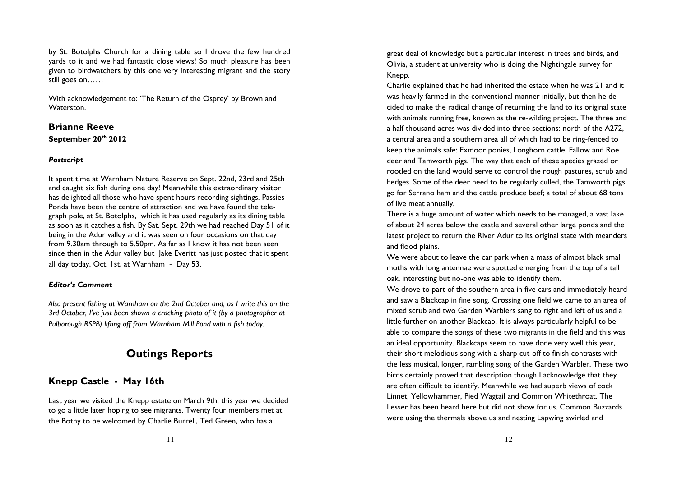by St. Botolphs Church for a dining table so I drove the few hundred yards to it and we had fantastic close views! So much pleasure has been given to birdwatchers by this one very interesting migrant and the story still goes on……

With acknowledgement to: 'The Return of the Osprey' by Brown and Waterston.

# Brianne Reeve September 20<sup>th</sup> 2012

#### Postscript

It spent time at Warnham Nature Reserve on Sept. 22nd, 23rd and 25th and caught six fish during one day! Meanwhile this extraordinary visitor has delighted all those who have spent hours recording sightings. Passies Ponds have been the centre of attraction and we have found the telegraph pole, at St. Botolphs, which it has used regularly as its dining table as soon as it catches a fish. By Sat. Sept. 29th we had reached Day 51 of it being in the Adur valley and it was seen on four occasions on that day from 9.30am through to 5.50pm. As far as I know it has not been seen since then in the Adur valley but Jake Everitt has just posted that it spent all day today, Oct. 1st, at Warnham - Day 53.

#### Editor's Comment

Also present fishing at Warnham on the 2nd October and, as I write this on the 3rd October, I've just been shown a cracking photo of it (by a photographer at Pulborough RSPB) lifting off from Warnham Mill Pond with a fish today.

# Outings Reports

# Knepp Castle - May 16th

Last year we visited the Knepp estate on March 9th, this year we decided to go a little later hoping to see migrants. Twenty four members met at the Bothy to be welcomed by Charlie Burrell, Ted Green, who has a

great deal of knowledge but a particular interest in trees and birds, and Olivia, a student at university who is doing the Nightingale survey for Knepp.

Charlie explained that he had inherited the estate when he was 21 and it was heavily farmed in the conventional manner initially, but then he decided to make the radical change of returning the land to its original state with animals running free, known as the re-wilding project. The three and a half thousand acres was divided into three sections: north of the A272, a central area and a southern area all of which had to be ring-fenced to keep the animals safe: Exmoor ponies, Longhorn cattle, Fallow and Roe deer and Tamworth pigs. The way that each of these species grazed or rootled on the land would serve to control the rough pastures, scrub and hedges. Some of the deer need to be regularly culled, the Tamworth pigs go for Serrano ham and the cattle produce beef; a total of about 68 tons of live meat annually.

There is a huge amount of water which needs to be managed, a vast lake of about 24 acres below the castle and several other large ponds and the latest project to return the River Adur to its original state with meanders and flood plains.

We were about to leave the car park when a mass of almost black small moths with long antennae were spotted emerging from the top of a tall oak, interesting but no-one was able to identify them.

We drove to part of the southern area in five cars and immediately heard and saw a Blackcap in fine song. Crossing one field we came to an area of mixed scrub and two Garden Warblers sang to right and left of us and a little further on another Blackcap. It is always particularly helpful to be able to compare the songs of these two migrants in the field and this was an ideal opportunity. Blackcaps seem to have done very well this year, their short melodious song with a sharp cut-off to finish contrasts with the less musical, longer, rambling song of the Garden Warbler. These two birds certainly proved that description though I acknowledge that they are often difficult to identify. Meanwhile we had superb views of cock Linnet, Yellowhammer, Pied Wagtail and Common Whitethroat. The Lesser has been heard here but did not show for us. Common Buzzards were using the thermals above us and nesting Lapwing swirled and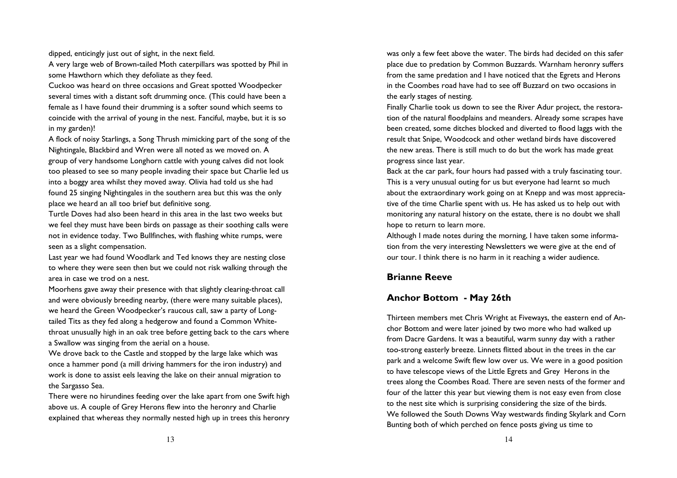dipped, enticingly just out of sight, in the next field.

A very large web of Brown-tailed Moth caterpillars was spotted by Phil in some Hawthorn which they defoliate as they feed.

Cuckoo was heard on three occasions and Great spotted Woodpecker several times with a distant soft drumming once. (This could have been a female as I have found their drumming is a softer sound which seems to coincide with the arrival of young in the nest. Fanciful, maybe, but it is so in my garden)!

A flock of noisy Starlings, a Song Thrush mimicking part of the song of the Nightingale, Blackbird and Wren were all noted as we moved on. A group of very handsome Longhorn cattle with young calves did not look too pleased to see so many people invading their space but Charlie led us into a boggy area whilst they moved away. Olivia had told us she had found 25 singing Nightingales in the southern area but this was the only place we heard an all too brief but definitive song.

Turtle Doves had also been heard in this area in the last two weeks but we feel they must have been birds on passage as their soothing calls were not in evidence today. Two Bullfinches, with flashing white rumps, were seen as a slight compensation.

Last year we had found Woodlark and Ted knows they are nesting close to where they were seen then but we could not risk walking through the area in case we trod on a nest.

Moorhens gave away their presence with that slightly clearing-throat call and were obviously breeding nearby, (there were many suitable places), we heard the Green Woodpecker's raucous call, saw a party of Longtailed Tits as they fed along a hedgerow and found a Common Whitethroat unusually high in an oak tree before getting back to the cars where a Swallow was singing from the aerial on a house.

We drove back to the Castle and stopped by the large lake which was once a hammer pond (a mill driving hammers for the iron industry) and work is done to assist eels leaving the lake on their annual migration to the Sargasso Sea.

There were no hirundines feeding over the lake apart from one Swift high above us. A couple of Grey Herons flew into the heronry and Charlie explained that whereas they normally nested high up in trees this heronry

was only a few feet above the water. The birds had decided on this safer place due to predation by Common Buzzards. Warnham heronry suffers from the same predation and I have noticed that the Egrets and Herons in the Coombes road have had to see off Buzzard on two occasions in the early stages of nesting.

Finally Charlie took us down to see the River Adur project, the restoration of the natural floodplains and meanders. Already some scrapes have been created, some ditches blocked and diverted to flood laggs with the result that Snipe, Woodcock and other wetland birds have discovered the new areas. There is still much to do but the work has made great progress since last year.

Back at the car park, four hours had passed with a truly fascinating tour. This is a very unusual outing for us but everyone had learnt so much about the extraordinary work going on at Knepp and was most appreciative of the time Charlie spent with us. He has asked us to help out with monitoring any natural history on the estate, there is no doubt we shall hope to return to learn more.

Although I made notes during the morning, I have taken some information from the very interesting Newsletters we were give at the end of our tour. I think there is no harm in it reaching a wider audience.

#### Brianne Reeve

#### Anchor Bottom - May 26th

Thirteen members met Chris Wright at Fiveways, the eastern end of Anchor Bottom and were later joined by two more who had walked up from Dacre Gardens. It was a beautiful, warm sunny day with a rather too-strong easterly breeze. Linnets flitted about in the trees in the car park and a welcome Swift flew low over us. We were in a good position to have telescope views of the Little Egrets and Grey Herons in the trees along the Coombes Road. There are seven nests of the former and four of the latter this year but viewing them is not easy even from close to the nest site which is surprising considering the size of the birds. We followed the South Downs Way westwards finding Skylark and Corn Bunting both of which perched on fence posts giving us time to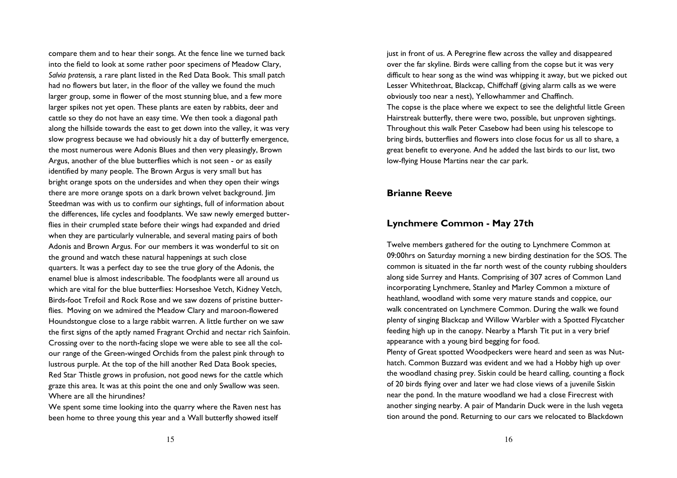compare them and to hear their songs. At the fence line we turned back into the field to look at some rather poor specimens of Meadow Clary, Salvia pratensis, a rare plant listed in the Red Data Book. This small patch had no flowers but later, in the floor of the valley we found the much larger group, some in flower of the most stunning blue, and a few more larger spikes not yet open. These plants are eaten by rabbits, deer and cattle so they do not have an easy time. We then took a diagonal path along the hillside towards the east to get down into the valley, it was very slow progress because we had obviously hit a day of butterfly emergence, the most numerous were Adonis Blues and then very pleasingly, Brown Argus, another of the blue butterflies which is not seen - or as easily identified by many people. The Brown Argus is very small but has bright orange spots on the undersides and when they open their wings there are more orange spots on a dark brown velvet background. Jim Steedman was with us to confirm our sightings, full of information about the differences, life cycles and foodplants. We saw newly emerged butterflies in their crumpled state before their wings had expanded and dried when they are particularly vulnerable, and several mating pairs of both Adonis and Brown Argus. For our members it was wonderful to sit on the ground and watch these natural happenings at such close quarters. It was a perfect day to see the true glory of the Adonis, the enamel blue is almost indescribable. The foodplants were all around us which are vital for the blue butterflies: Horseshoe Vetch, Kidney Vetch, Birds-foot Trefoil and Rock Rose and we saw dozens of pristine butterflies. Moving on we admired the Meadow Clary and maroon-flowered Houndstongue close to a large rabbit warren. A little further on we saw the first signs of the aptly named Fragrant Orchid and nectar rich Sainfoin. Crossing over to the north-facing slope we were able to see all the colour range of the Green-winged Orchids from the palest pink through to lustrous purple. At the top of the hill another Red Data Book species, Red Star Thistle grows in profusion, not good news for the cattle which graze this area. It was at this point the one and only Swallow was seen. Where are all the hirundines?

We spent some time looking into the quarry where the Raven nest has been home to three young this year and a Wall butterfly showed itself

just in front of us. A Peregrine flew across the valley and disappeared over the far skyline. Birds were calling from the copse but it was very difficult to hear song as the wind was whipping it away, but we picked out Lesser Whitethroat, Blackcap, Chiffchaff (giving alarm calls as we were obviously too near a nest), Yellowhammer and Chaffinch. The copse is the place where we expect to see the delightful little Green Hairstreak butterfly, there were two, possible, but unproven sightings. Throughout this walk Peter Casebow had been using his telescope to bring birds, butterflies and flowers into close focus for us all to share, a great benefit to everyone. And he added the last birds to our list, two low-flying House Martins near the car park.

#### Brianne Reeve

#### Lynchmere Common - May 27th

Twelve members gathered for the outing to Lynchmere Common at 09:00hrs on Saturday morning a new birding destination for the SOS. The common is situated in the far north west of the county rubbing shoulders along side Surrey and Hants. Comprising of 307 acres of Common Land incorporating Lynchmere, Stanley and Marley Common a mixture of heathland, woodland with some very mature stands and coppice, our walk concentrated on Lynchmere Common. During the walk we found plenty of singing Blackcap and Willow Warbler with a Spotted Flycatcher feeding high up in the canopy. Nearby a Marsh Tit put in a very brief appearance with a young bird begging for food.

Plenty of Great spotted Woodpeckers were heard and seen as was Nuthatch. Common Buzzard was evident and we had a Hobby high up over the woodland chasing prey. Siskin could be heard calling, counting a flock of 20 birds flying over and later we had close views of a juvenile Siskin near the pond. In the mature woodland we had a close Firecrest with another singing nearby. A pair of Mandarin Duck were in the lush vegeta tion around the pond. Returning to our cars we relocated to Blackdown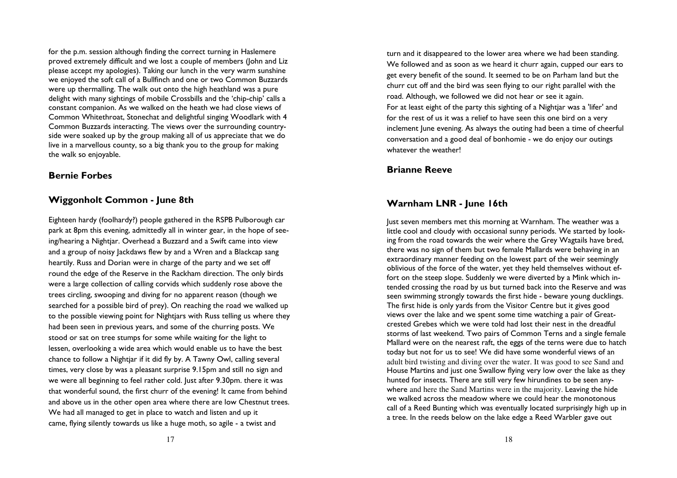for the p.m. session although finding the correct turning in Haslemere proved extremely difficult and we lost a couple of members (John and Liz please accept my apologies). Taking our lunch in the very warm sunshine we enjoyed the soft call of a Bullfinch and one or two Common Buzzards were up thermalling. The walk out onto the high heathland was a pure delight with many sightings of mobile Crossbills and the 'chip-chip' calls a constant companion. As we walked on the heath we had close views of Common Whitethroat, Stonechat and delightful singing Woodlark with 4 Common Buzzards interacting. The views over the surrounding countryside were soaked up by the group making all of us appreciate that we do live in a marvellous county, so a big thank you to the group for making the walk so enjoyable.

#### Bernie Forbes

### Wiggonholt Common - June 8th

Eighteen hardy (foolhardy?) people gathered in the RSPB Pulborough car park at 8pm this evening, admittedly all in winter gear, in the hope of seeing/hearing a Nightjar. Overhead a Buzzard and a Swift came into view and a group of noisy Jackdaws flew by and a Wren and a Blackcap sang heartily. Russ and Dorian were in charge of the party and we set off round the edge of the Reserve in the Rackham direction. The only birds were a large collection of calling corvids which suddenly rose above the trees circling, swooping and diving for no apparent reason (though we searched for a possible bird of prey). On reaching the road we walked up to the possible viewing point for Nightjars with Russ telling us where they had been seen in previous years, and some of the churring posts. We stood or sat on tree stumps for some while waiting for the light to lessen, overlooking a wide area which would enable us to have the best chance to follow a Nightjar if it did fly by. A Tawny Owl, calling several times, very close by was a pleasant surprise 9.15pm and still no sign and we were all beginning to feel rather cold. Just after 9.30pm. there it was that wonderful sound, the first churr of the evening! It came from behind and above us in the other open area where there are low Chestnut trees. We had all managed to get in place to watch and listen and up it came, flying silently towards us like a huge moth, so agile - a twist and

turn and it disappeared to the lower area where we had been standing. We followed and as soon as we heard it churr again, cupped our ears to get every benefit of the sound. It seemed to be on Parham land but the churr cut off and the bird was seen flying to our right parallel with the road. Although, we followed we did not hear or see it again. For at least eight of the party this sighting of a Nightiar was a 'lifer' and for the rest of us it was a relief to have seen this one bird on a very inclement June evening. As always the outing had been a time of cheerful conversation and a good deal of bonhomie - we do enjoy our outings whatever the weather!

#### Brianne Reeve

#### Warnham LNR - June 16th

Just seven members met this morning at Warnham. The weather was a little cool and cloudy with occasional sunny periods. We started by looking from the road towards the weir where the Grey Wagtails have bred, there was no sign of them but two female Mallards were behaving in an extraordinary manner feeding on the lowest part of the weir seemingly oblivious of the force of the water, yet they held themselves without effort on the steep slope. Suddenly we were diverted by a Mink which intended crossing the road by us but turned back into the Reserve and was seen swimming strongly towards the first hide - beware young ducklings. The first hide is only yards from the Visitor Centre but it gives good views over the lake and we spent some time watching a pair of Greatcrested Grebes which we were told had lost their nest in the dreadful storms of last weekend. Two pairs of Common Terns and a single female Mallard were on the nearest raft, the eggs of the terns were due to hatch today but not for us to see! We did have some wonderful views of an adult bird twisting and diving over the water. It was good to see Sand and House Martins and just one Swallow flying very low over the lake as they hunted for insects. There are still very few hirundines to be seen anywhere and here the Sand Martins were in the majority. Leaving the hide we walked across the meadow where we could hear the monotonous call of a Reed Bunting which was eventually located surprisingly high up in a tree. In the reeds below on the lake edge a Reed Warbler gave out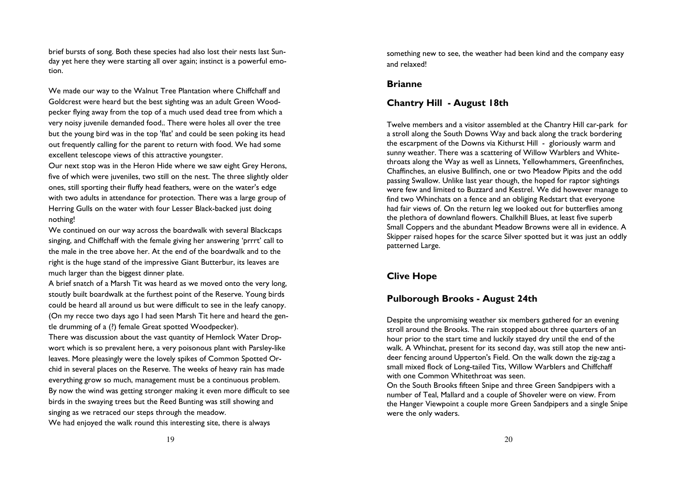brief bursts of song. Both these species had also lost their nests last Sunday yet here they were starting all over again; instinct is a powerful emotion.

We made our way to the Walnut Tree Plantation where Chiffchaff and Goldcrest were heard but the best sighting was an adult Green Woodpecker flying away from the top of a much used dead tree from which a very noisy juvenile demanded food.. There were holes all over the tree but the young bird was in the top 'flat' and could be seen poking its head out frequently calling for the parent to return with food. We had some excellent telescope views of this attractive youngster.

Our next stop was in the Heron Hide where we saw eight Grey Herons, five of which were juveniles, two still on the nest. The three slightly older ones, still sporting their fluffy head feathers, were on the water's edge with two adults in attendance for protection. There was a large group of Herring Gulls on the water with four Lesser Black-backed just doing nothing!

We continued on our way across the boardwalk with several Blackcaps singing, and Chiffchaff with the female giving her answering 'prrrt' call to the male in the tree above her. At the end of the boardwalk and to the right is the huge stand of the impressive Giant Butterbur, its leaves are much larger than the biggest dinner plate.

A brief snatch of a Marsh Tit was heard as we moved onto the very long, stoutly built boardwalk at the furthest point of the Reserve. Young birds could be heard all around us but were difficult to see in the leafy canopy. (On my recce two days ago I had seen Marsh Tit here and heard the gentle drumming of a (?) female Great spotted Woodpecker).

There was discussion about the vast quantity of Hemlock Water Dropwort which is so prevalent here, a very poisonous plant with Parsley-like leaves. More pleasingly were the lovely spikes of Common Spotted Orchid in several places on the Reserve. The weeks of heavy rain has made everything grow so much, management must be a continuous problem. By now the wind was getting stronger making it even more difficult to see birds in the swaying trees but the Reed Bunting was still showing and singing as we retraced our steps through the meadow. We had enjoyed the walk round this interesting site, there is always

something new to see, the weather had been kind and the company easy and relaxed!

#### Brianne

#### Chantry Hill - August 18th

Twelve members and a visitor assembled at the Chantry Hill car-park for a stroll along the South Downs Way and back along the track bordering the escarpment of the Downs via Kithurst Hill - gloriously warm and sunny weather. There was a scattering of Willow Warblers and Whitethroats along the Way as well as Linnets, Yellowhammers, Greenfinches, Chaffinches, an elusive Bullfinch, one or two Meadow Pipits and the odd passing Swallow. Unlike last year though, the hoped for raptor sightings were few and limited to Buzzard and Kestrel. We did however manage to find two Whinchats on a fence and an obliging Redstart that everyone had fair views of. On the return leg we looked out for butterflies among the plethora of downland flowers. Chalkhill Blues, at least five superb Small Coppers and the abundant Meadow Browns were all in evidence. A Skipper raised hopes for the scarce Silver spotted but it was just an oddly patterned Large.

#### Clive Hope

#### Pulborough Brooks - August 24th

Despite the unpromising weather six members gathered for an evening stroll around the Brooks. The rain stopped about three quarters of an hour prior to the start time and luckily stayed dry until the end of the walk. A Whinchat, present for its second day, was still atop the new antideer fencing around Upperton's Field. On the walk down the zig-zag a small mixed flock of Long-tailed Tits, Willow Warblers and Chiffchaff with one Common Whitethroat was seen.

 On the South Brooks fifteen Snipe and three Green Sandpipers with a number of Teal, Mallard and a couple of Shoveler were on view. From the Hanger Viewpoint a couple more Green Sandpipers and a single Snipe were the only waders.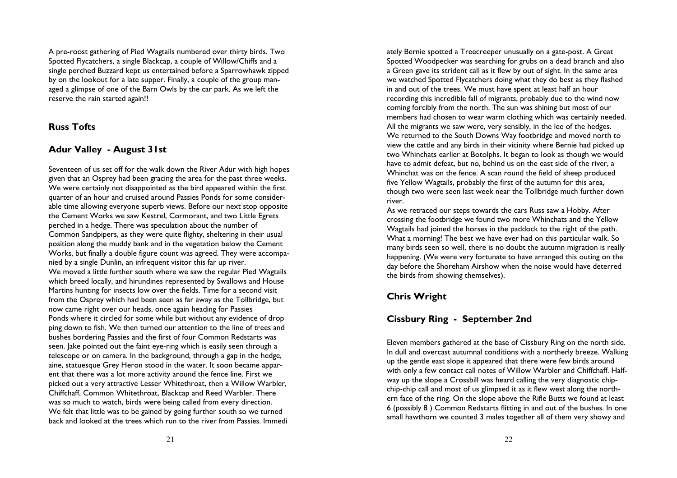A pre-roost gathering of Pied Wagtails numbered over thirty birds. Two Spotted Flycatchers, a single Blackcap, a couple of Willow/Chiffs and a single perched Buzzard kept us entertained before a Sparrowhawk zipped by on the lookout for a late supper. Finally, a couple of the group managed a glimpse of one of the Barn Owls by the car park. As we left the reserve the rain started again!!

### Russ Tofts

### Adur Valley - August 31st

Seventeen of us set off for the walk down the River Adur with high hopes given that an Osprey had been gracing the area for the past three weeks. We were certainly not disappointed as the bird appeared within the first quarter of an hour and cruised around Passies Ponds for some considerable time allowing everyone superb views. Before our next stop opposite the Cement Works we saw Kestrel, Cormorant, and two Little Egrets perched in a hedge. There was speculation about the number of Common Sandpipers, as they were quite flighty, sheltering in their usual position along the muddy bank and in the vegetation below the Cement Works, but finally a double figure count was agreed. They were accompanied by a single Dunlin, an infrequent visitor this far up river. We moved a little further south where we saw the regular Pied Wagtails which breed locally, and hirundines represented by Swallows and House Martins hunting for insects low over the fields. Time for a second visit from the Osprey which had been seen as far away as the Tollbridge, but now came right over our heads, once again heading for Passies Ponds where it circled for some while but without any evidence of drop ping down to fish. We then turned our attention to the line of trees and bushes bordering Passies and the first of four Common Redstarts was seen. Jake pointed out the faint eye-ring which is easily seen through a telescope or on camera. In the background, through a gap in the hedge, aine, statuesque Grey Heron stood in the water. It soon became apparent that there was a lot more activity around the fence line. First we picked out a very attractive Lesser Whitethroat, then a Willow Warbler, Chiffchaff, Common Whitethroat, Blackcap and Reed Warbler. There was so much to watch, birds were being called from every direction. We felt that little was to be gained by going further south so we turned back and looked at the trees which run to the river from Passies. Immedi

ately Bernie spotted a Treecreeper unusually on a gate-post. A Great Spotted Woodpecker was searching for grubs on a dead branch and also a Green gave its strident call as it flew by out of sight. In the same area we watched Spotted Flycatchers doing what they do best as they flashed in and out of the trees. We must have spent at least half an hour recording this incredible fall of migrants, probably due to the wind now coming forcibly from the north. The sun was shining but most of our members had chosen to wear warm clothing which was certainly needed. All the migrants we saw were, very sensibly, in the lee of the hedges. We returned to the South Downs Way footbridge and moved north to view the cattle and any birds in their vicinity where Bernie had picked up two Whinchats earlier at Botolphs. It began to look as though we would have to admit defeat, but no, behind us on the east side of the river, a Whinchat was on the fence. A scan round the field of sheep produced five Yellow Wagtails, probably the first of the autumn for this area, though two were seen last week near the Tollbridge much further down river.

 As we retraced our steps towards the cars Russ saw a Hobby. After crossing the footbridge we found two more Whinchats and the Yellow Wagtails had joined the horses in the paddock to the right of the path. What a morning! The best we have ever had on this particular walk. So many birds seen so well, there is no doubt the autumn migration is really happening. (We were very fortunate to have arranged this outing on the day before the Shoreham Airshow when the noise would have deterred the birds from showing themselves).

### Chris Wright

## Cissbury Ring - September 2nd

Eleven members gathered at the base of Cissbury Ring on the north side. In dull and overcast autumnal conditions with a northerly breeze. Walking up the gentle east slope it appeared that there were few birds around with only a few contact call notes of Willow Warbler and Chiffchaff. Halfway up the slope a Crossbill was heard calling the very diagnostic chipchip-chip call and most of us glimpsed it as it flew west along the northern face of the ring. On the slope above the Rifle Butts we found at least 6 (possibly 8 ) Common Redstarts flitting in and out of the bushes. In one small hawthorn we counted 3 males together all of them very showy and